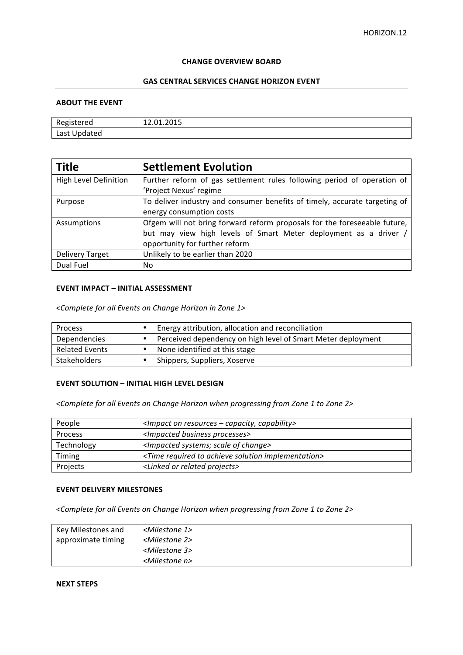#### **CHANGE OVERVIEW BOARD**

## **GAS CENTRAL SERVICES CHANGE HORIZON EVENT**

### **ABOUT THE EVENT**

| erea<br>ם~יי                       | $\sim$ $\sim$ $\sim$<br><b>14.01.4010</b><br>______ |
|------------------------------------|-----------------------------------------------------|
| $\sim$ $+1$<br>aten<br>LUJI UPUULU |                                                     |

| <b>Title</b>           | <b>Settlement Evolution</b>                                                |
|------------------------|----------------------------------------------------------------------------|
| High Level Definition  | Further reform of gas settlement rules following period of operation of    |
|                        | 'Project Nexus' regime                                                     |
| Purpose                | To deliver industry and consumer benefits of timely, accurate targeting of |
|                        | energy consumption costs                                                   |
| Assumptions            | Ofgem will not bring forward reform proposals for the foreseeable future,  |
|                        | but may view high levels of Smart Meter deployment as a driver /           |
|                        | opportunity for further reform                                             |
| <b>Delivery Target</b> | Unlikely to be earlier than 2020                                           |
| Dual Fuel              | No                                                                         |

### **EVENT IMPACT – INITIAL ASSESSMENT**

*<Complete for all Events on Change Horizon in Zone 1>*

| <b>Process</b>        | Energy attribution, allocation and reconciliation            |
|-----------------------|--------------------------------------------------------------|
| Dependencies          | Perceived dependency on high level of Smart Meter deployment |
| <b>Related Events</b> | None identified at this stage                                |
| <b>Stakeholders</b>   | Shippers, Suppliers, Xoserve                                 |

# **EVENT SOLUTION - INITIAL HIGH LEVEL DESIGN**

*<Complete for all Events on Change Horizon when progressing from Zone 1 to Zone 2>*

| People         | <impact -="" capability="" capacity,="" on="" resources=""></impact>     |
|----------------|--------------------------------------------------------------------------|
| <b>Process</b> | <impacted business="" processes=""></impacted>                           |
| Technology     | <impacted change="" of="" scale="" systems;=""></impacted>               |
| Timing         | <time achieve="" implementation="" required="" solution="" to=""></time> |
| Projects       | <linked or="" projects="" related=""></linked>                           |

## **EVENT DELIVERY MILESTONES**

<Complete for all Events on Change Horizon when progressing from Zone 1 to Zone 2>

| Key Milestones and | <milestone 1=""></milestone> |
|--------------------|------------------------------|
| approximate timing | <milestone 2=""></milestone> |
|                    | <milestone 3=""></milestone> |
|                    | <milestone n=""></milestone> |

# **NEXT STEPS**